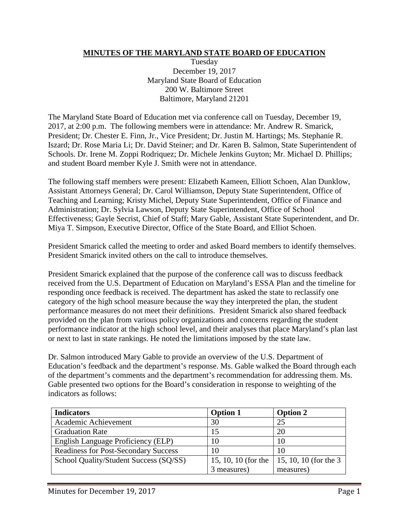## **MINUTES OF THE MARYLAND STATE BOARD OF EDUCATION**

Tuesday December 19, 2017 Maryland State Board of Education 200 W. Baltimore Street Baltimore, Maryland 21201

The Maryland State Board of Education met via conference call on Tuesday, December 19, 2017, at 2:00 p.m. The following members were in attendance: Mr. Andrew R. Smarick, President; Dr. Chester E. Finn, Jr., Vice President; Dr. Justin M. Hartings; Ms. Stephanie R. Iszard; Dr. Rose Maria Li; Dr. David Steiner; and Dr. Karen B. Salmon, State Superintendent of Schools. Dr. Irene M. Zoppi Rodriquez; Dr. Michele Jenkins Guyton; Mr. Michael D. Phillips; and student Board member Kyle J. Smith were not in attendance.

The following staff members were present: Elizabeth Kameen, Elliott Schoen, Alan Dunklow, Assistant Attorneys General; Dr. Carol Williamson, Deputy State Superintendent, Office of Teaching and Learning; Kristy Michel, Deputy State Superintendent, Office of Finance and Administration; Dr. Sylvia Lawson, Deputy State Superintendent, Office of School Effectiveness; Gayle Secrist, Chief of Staff; Mary Gable, Assistant State Superintendent, and Dr. Miya T. Simpson, Executive Director, Office of the State Board, and Elliot Schoen.

President Smarick called the meeting to order and asked Board members to identify themselves. President Smarick invited others on the call to introduce themselves.

President Smarick explained that the purpose of the conference call was to discuss feedback received from the U.S. Department of Education on Maryland's ESSA Plan and the timeline for responding once feedback is received. The department has asked the state to reclassify one category of the high school measure because the way they interpreted the plan, the student performance measures do not meet their definitions. President Smarick also shared feedback provided on the plan from various policy organizations and concerns regarding the student performance indicator at the high school level, and their analyses that place Maryland's plan last or next to last in state rankings. He noted the limitations imposed by the state law.

Dr. Salmon introduced Mary Gable to provide an overview of the U.S. Department of Education's feedback and the department's response. Ms. Gable walked the Board through each of the department's comments and the department's recommendation for addressing them. Ms. Gable presented two options for the Board's consideration in response to weighting of the indicators as follows:

| <b>Indicators</b>                           | <b>Option 1</b>     | <b>Option 2</b>        |
|---------------------------------------------|---------------------|------------------------|
| Academic Achievement                        | 30                  | 25                     |
| <b>Graduation Rate</b>                      | 15                  | 20                     |
| English Language Proficiency (ELP)          | 10                  | 10                     |
| <b>Readiness for Post-Secondary Success</b> | 10                  | 10                     |
| School Quality/Student Success (SQ/SS)      | 15, 10, 10 (for the | 15, 10, 10 (for the 3) |
|                                             | 3 measures)         | measures)              |